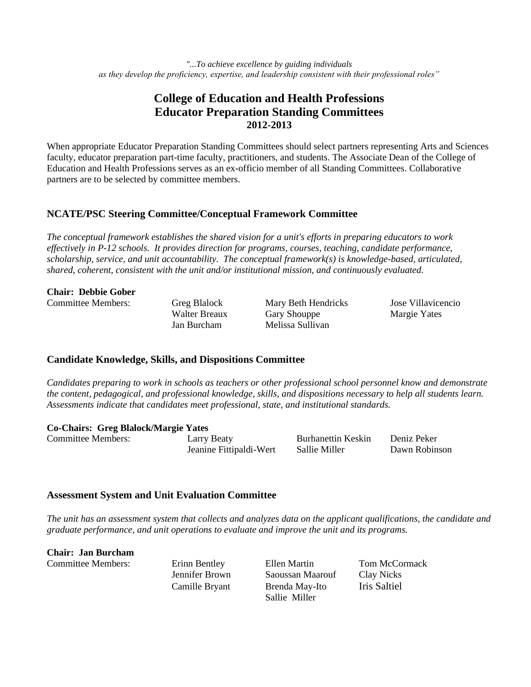*"...To achieve excellence by guiding individuals as they develop the proficiency, expertise, and leadership consistent with their professional roles"*

# **College of Education and Health Professions Educator Preparation Standing Committees 2012-2013**

When appropriate Educator Preparation Standing Committees should select partners representing Arts and Sciences faculty, educator preparation part-time faculty, practitioners, and students. The Associate Dean of the College of Education and Health Professions serves as an ex-officio member of all Standing Committees. Collaborative partners are to be selected by committee members.

# **NCATE/PSC Steering Committee/Conceptual Framework Committee**

*The conceptual framework establishes the shared vision for a unit's efforts in preparing educators to work effectively in P-12 schools. It provides direction for programs, courses, teaching, candidate performance, scholarship, service, and unit accountability. The conceptual framework(s) is knowledge-based, articulated, shared, coherent, consistent with the unit and/or institutional mission, and continuously evaluated.*

#### **Chair: Debbie Gober**

Committee Members: Greg Blalock Mary Beth Hendricks Jose Villavicencio

Walter Breaux Gary Shouppe Margie Yates Jan Burcham Melissa Sullivan

# **Candidate Knowledge, Skills, and Dispositions Committee**

*Candidates preparing to work in schools as teachers or other professional school personnel know and demonstrate the content, pedagogical, and professional knowledge, skills, and dispositions necessary to help all students learn. Assessments indicate that candidates meet professional, state, and institutional standards.*

# **Co-Chairs: Greg Blalock/Margie Yates**

Committee Members: Larry Beaty Burhanettin Keskin Deniz Peker Jeanine Fittipaldi-Wert Sallie Miller Dawn Robinson

# **Assessment System and Unit Evaluation Committee**

*The unit has an assessment system that collects and analyzes data on the applicant qualifications, the candidate and graduate performance, and unit operations to evaluate and improve the unit and its programs.*

**Chair: Jan Burcham**

Jennifer Brown Saoussan Maarouf Clay Nicks Camille Bryant Brenda May-Ito Iris Saltiel Sallie Miller

Committee Members: Erinn Bentley Ellen Martin Tom McCormack